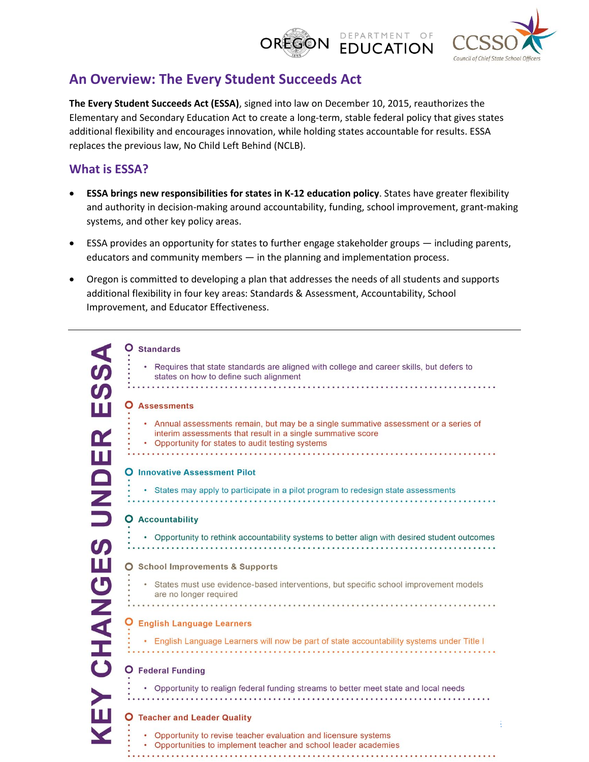#### DEPARTMENT OF **OREGON EDUCATION**



# **An Overview: The Every Student Succeeds Act**

**The Every Student Succeeds Act (ESSA)**, signed into law on December 10, 2015, reauthorizes the Elementary and Secondary Education Act to create a long-term, stable federal policy that gives states additional flexibility and encourages innovation, while holding states accountable for results. ESSA replaces the previous law, No Child Left Behind (NCLB).

## **What is ESSA?**

- **ESSA brings new responsibilities for states in K-12 education policy**. States have greater flexibility and authority in decision-making around accountability, funding, school improvement, grant-making systems, and other key policy areas.
- ESSA provides an opportunity for states to further engage stakeholder groups including parents, educators and community members — in the planning and implementation process.
- Oregon is committed to developing a plan that addresses the needs of all students and supports additional flexibility in four key areas: Standards & Assessment, Accountability, School Improvement, and Educator Effectiveness.

| $\blacktriangleleft$  | <b>Standards</b>                                                                                                                                                                                         |
|-----------------------|----------------------------------------------------------------------------------------------------------------------------------------------------------------------------------------------------------|
| $\boldsymbol{\omega}$ | • Requires that state standards are aligned with college and career skills, but defers to<br>states on how to define such alignment                                                                      |
| $\boldsymbol{\omega}$ |                                                                                                                                                                                                          |
| ш                     | <b>Assessments</b>                                                                                                                                                                                       |
| Œ                     | • Annual assessments remain, but may be a single summative assessment or a series of<br>interim assessments that result in a single summative score<br>• Opportunity for states to audit testing systems |
| Щ                     | <b>O</b> Innovative Assessment Pilot                                                                                                                                                                     |
|                       |                                                                                                                                                                                                          |
|                       | • States may apply to participate in a pilot program to redesign state assessments                                                                                                                       |
| Q<br>N<br>D<br>D      |                                                                                                                                                                                                          |
|                       | <b>Accountability</b>                                                                                                                                                                                    |
|                       | • Opportunity to rethink accountability systems to better align with desired student outcomes                                                                                                            |
| Щ                     | <b>School Improvements &amp; Supports</b>                                                                                                                                                                |
| <b>UNAH</b>           | • States must use evidence-based interventions, but specific school improvement models<br>are no longer required                                                                                         |
|                       |                                                                                                                                                                                                          |
|                       | <b>English Language Learners</b>                                                                                                                                                                         |
|                       | . English Language Learners will now be part of state accountability systems under Title I                                                                                                               |
| $\dot{\mathbf{O}}$    | <b>Federal Funding</b>                                                                                                                                                                                   |
|                       | • Opportunity to realign federal funding streams to better meet state and local needs                                                                                                                    |
| Щ                     | <b>Teacher and Leader Quality</b>                                                                                                                                                                        |
|                       | Opportunity to revise teacher evaluation and licensure systems                                                                                                                                           |
|                       | Opportunities to implement teacher and school leader academies                                                                                                                                           |